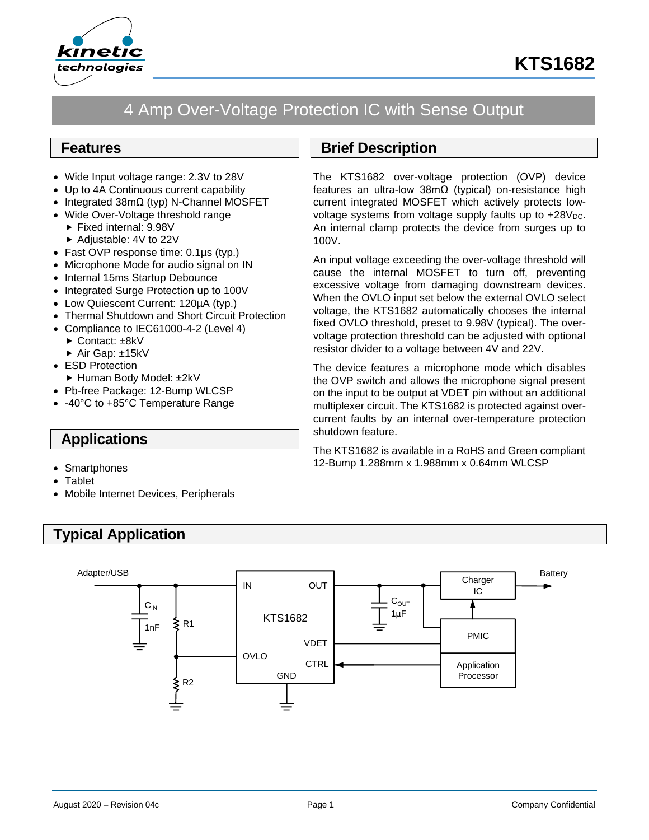

# 4 Amp Over-Voltage Protection IC with Sense Output

### **Features**

- Wide Input voltage range: 2.3V to 28V
- Up to 4A Continuous current capability
- Integrated 38mΩ (typ) N-Channel MOSFET
- Wide Over-Voltage threshold range
	- Fixed internal: 9.98V
	- ▶ Adjustable: 4V to 22V
- Fast OVP response time: 0.1µs (typ.)
- Microphone Mode for audio signal on IN
- Internal 15ms Startup Debounce
- Integrated Surge Protection up to 100V
- Low Quiescent Current: 120µA (typ.)
- Thermal Shutdown and Short Circuit Protection
- Compliance to IEC61000-4-2 (Level 4)
	- ► Contact: ±8kV
	- ▶ Air Gap: ±15kV
- ESD Protection
	- ► Human Body Model: ±2kV
- Pb-free Package: 12-Bump WLCSP
- -40°C to +85°C Temperature Range

# **Applications**

- Smartphones
- **Tablet**
- Mobile Internet Devices, Peripherals

# **Typical Application**

# **Brief Description**

The KTS1682 over-voltage protection (OVP) device features an ultra-low 38mΩ (typical) on-resistance high current integrated MOSFET which actively protects lowvoltage systems from voltage supply faults up to  $+28V<sub>DC</sub>$ . An internal clamp protects the device from surges up to 100V.

An input voltage exceeding the over-voltage threshold will cause the internal MOSFET to turn off, preventing excessive voltage from damaging downstream devices. When the OVLO input set below the external OVLO select voltage, the KTS1682 automatically chooses the internal fixed OVLO threshold, preset to 9.98V (typical). The overvoltage protection threshold can be adjusted with optional resistor divider to a voltage between 4V and 22V.

The device features a microphone mode which disables the OVP switch and allows the microphone signal present on the input to be output at VDET pin without an additional multiplexer circuit. The KTS1682 is protected against overcurrent faults by an internal over-temperature protection shutdown feature.

The KTS1682 is available in a RoHS and Green compliant 12-Bump 1.288mm x 1.988mm x 0.64mm WLCSP

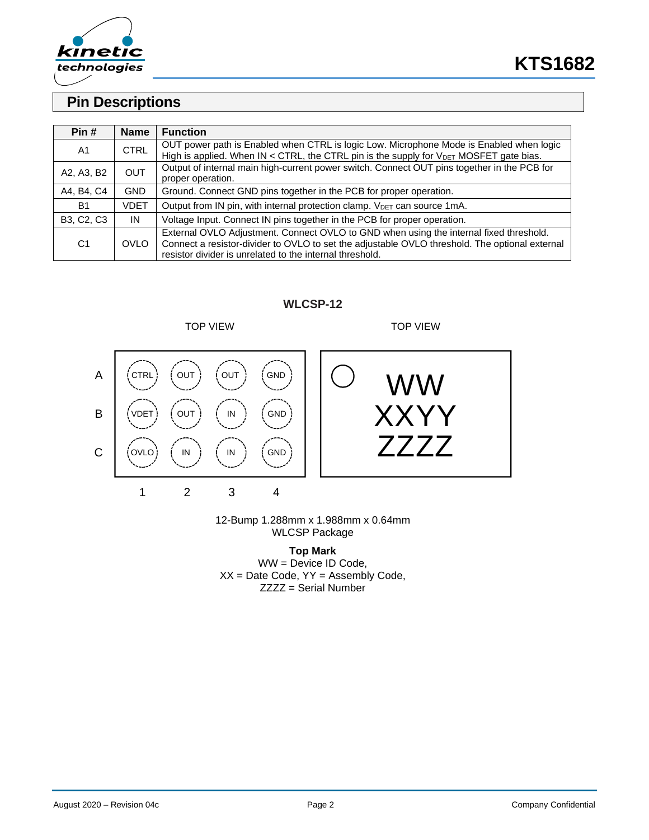

# **Pin Descriptions**

| Pin#           | <b>Name</b> | <b>Function</b>                                                                                |
|----------------|-------------|------------------------------------------------------------------------------------------------|
| A <sub>1</sub> | <b>CTRL</b> | OUT power path is Enabled when CTRL is logic Low. Microphone Mode is Enabled when logic        |
|                |             | High is applied. When $IN < CTRL$ , the CTRL pin is the supply for $V_{DET}$ MOSFET gate bias. |
|                | <b>OUT</b>  | Output of internal main high-current power switch. Connect OUT pins together in the PCB for    |
| A2, A3, B2     |             | proper operation.                                                                              |
| A4, B4, C4     | GND         | Ground. Connect GND pins together in the PCB for proper operation.                             |
| <b>B1</b>      | <b>VDET</b> | Output from IN pin, with internal protection clamp. V <sub>DET</sub> can source 1mA.           |
| B3, C2, C3     | IN          | Voltage Input. Connect IN pins together in the PCB for proper operation.                       |
|                |             | External OVLO Adjustment. Connect OVLO to GND when using the internal fixed threshold.         |
| C <sub>1</sub> | <b>OVLO</b> | Connect a resistor-divider to OVLO to set the adjustable OVLO threshold. The optional external |
|                |             | resistor divider is unrelated to the internal threshold.                                       |

### **WLCSP-12**



#### 12-Bump 1.288mm x 1.988mm x 0.64mm WLCSP Package

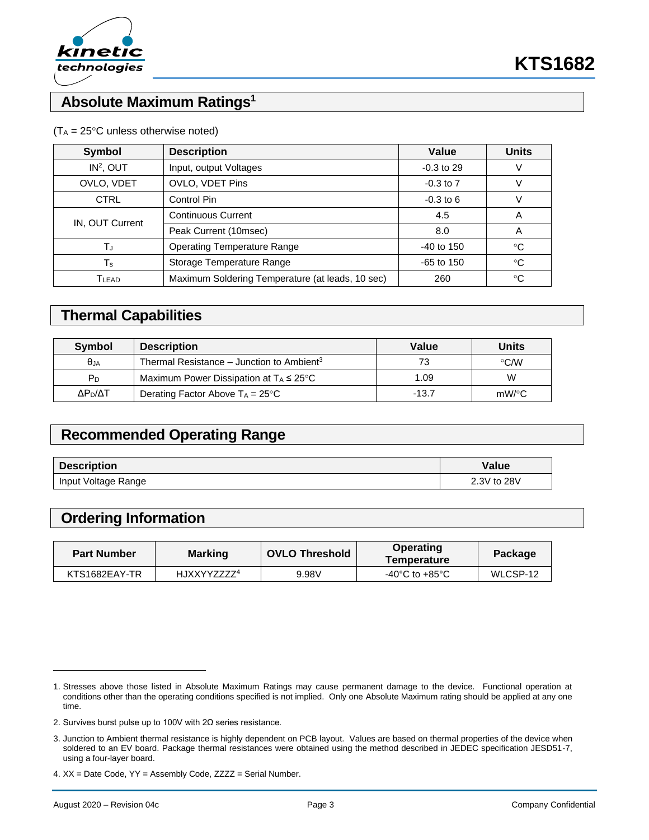

# **Absolute Maximum Ratings<sup>1</sup>**

| <b>Description</b><br><b>Symbol</b>                       |                                    | Value        | <b>Units</b> |
|-----------------------------------------------------------|------------------------------------|--------------|--------------|
| IN <sup>2</sup> , OUT                                     | Input, output Voltages             |              |              |
| OVLO, VDET                                                | OVLO, VDET Pins                    |              |              |
| <b>CTRL</b>                                               | Control Pin                        |              |              |
| IN, OUT Current                                           | <b>Continuous Current</b>          | 4.5          | A            |
|                                                           | Peak Current (10msec)              | 8.0          | A            |
| Tu                                                        | <b>Operating Temperature Range</b> |              | $^{\circ}C$  |
| Storage Temperature Range<br>$\mathsf T_{\mathsf s}$      |                                    | $-65$ to 150 | $^{\circ}C$  |
| Maximum Soldering Temperature (at leads, 10 sec)<br>TLEAD |                                    | 260          | °C           |

### $(T_A = 25^{\circ}C$  unless otherwise noted)

### **Thermal Capabilities**

| <b>Symbol</b>       | <b>Description</b>                                    | Value   | <b>Units</b>       |  |
|---------------------|-------------------------------------------------------|---------|--------------------|--|
| $\theta$ JA         | Thermal Resistance – Junction to Ambient <sup>3</sup> | 73      | $\rm ^{\circ}$ C/W |  |
| Pn.                 | Maximum Power Dissipation at $T_A \leq 25^{\circ}C$   | 1.09    | W                  |  |
| ΔΡ <sub>η</sub> /ΔΤ | Derating Factor Above $T_A = 25^{\circ}C$             | $-13.7$ | $mW$ /°C           |  |

# **Recommended Operating Range**

| <b>Description</b>  | Value       |
|---------------------|-------------|
| Input Voltage Range | 2.3V to 28V |

# **Ordering Information**

| <b>Part Number</b> | <b>Marking</b>          | <b>OVLO Threshold</b> | <b>Operating</b><br><b>Temperature</b> | Package  |
|--------------------|-------------------------|-----------------------|----------------------------------------|----------|
| KTS1682EAY-TR      | HJXXYYZZZZ <sup>4</sup> | 9.98V                 | -40 $^{\circ}$ C to +85 $^{\circ}$ C   | WLCSP-12 |

<sup>1.</sup> Stresses above those listed in Absolute Maximum Ratings may cause permanent damage to the device. Functional operation at conditions other than the operating conditions specified is not implied. Only one Absolute Maximum rating should be applied at any one time.

<sup>2.</sup> Survives burst pulse up to 100V with 2Ω series resistance.

<sup>3.</sup> Junction to Ambient thermal resistance is highly dependent on PCB layout. Values are based on thermal properties of the device when soldered to an EV board. Package thermal resistances were obtained using the method described in JEDEC specification JESD51-7, using a four-layer board.

<sup>4.</sup> XX = Date Code, YY = Assembly Code, ZZZZ = Serial Number.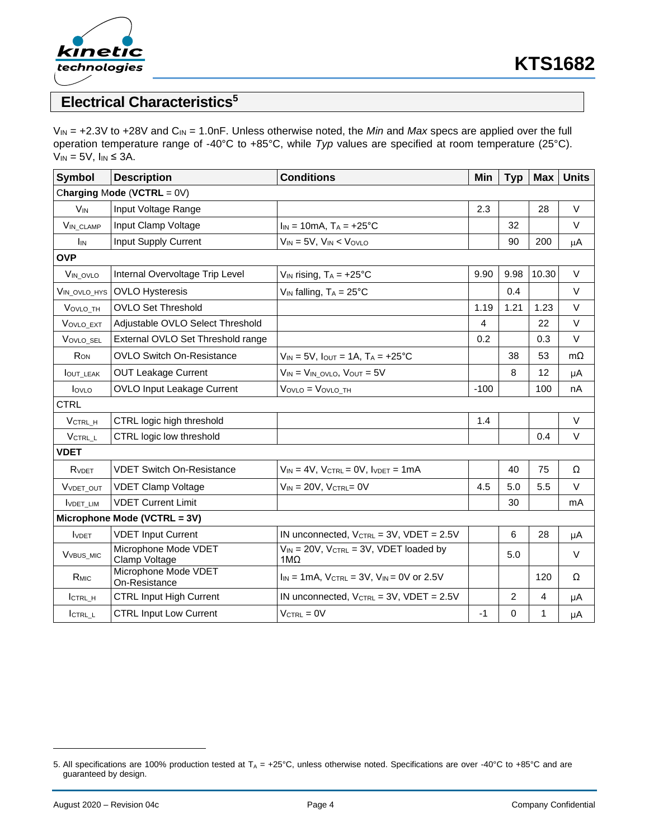

# **Electrical Characteristics<sup>5</sup>**

V<sub>IN</sub> = +2.3V to +28V and C<sub>IN</sub> = 1.0nF. Unless otherwise noted, the *Min* and *Max* specs are applied over the full operation temperature range of -40°C to +85°C, while *Typ* values are specified at room temperature (25°C).  $V_{IN} = 5V$ ,  $I_{IN} \leq 3A$ .

| Symbol                       | <b>Description</b>                    | <b>Conditions</b>                                             | Min            | <b>Typ</b>     | <b>Max</b> | <b>Units</b> |
|------------------------------|---------------------------------------|---------------------------------------------------------------|----------------|----------------|------------|--------------|
|                              | Charging Mode (VCTRL = $0V$ )         |                                                               |                |                |            |              |
| <b>V<sub>IN</sub></b>        | Input Voltage Range                   |                                                               | 2.3            |                | 28         | $\vee$       |
| VIN_CLAMP                    | Input Clamp Voltage                   | $I_{IN} = 10mA$ , $T_A = +25°C$                               |                | 32             |            | $\vee$       |
| I <sub>IN</sub>              | Input Supply Current                  | $V_{IN} = 5V$ , $V_{IN} < V_{OVLO}$                           |                | 90             | 200        | μA           |
| <b>OVP</b>                   |                                       |                                                               |                |                |            |              |
| VIN_OVLO                     | Internal Overvoltage Trip Level       | $V_{IN}$ rising, $T_A = +25$ °C                               | 9.90           | 9.98           | 10.30      | $\vee$       |
| VIN_OVLO_HYS                 | <b>OVLO Hysteresis</b>                | $V_{IN}$ falling, $T_A = 25^{\circ}C$                         |                | 0.4            |            | V            |
| VOVLO TH                     | <b>OVLO Set Threshold</b>             |                                                               | 1.19           | 1.21           | 1.23       | $\vee$       |
| VOVLO EXT                    | Adjustable OVLO Select Threshold      |                                                               | $\overline{4}$ |                | 22         | $\vee$       |
| VOVLO SEL                    | External OVLO Set Threshold range     |                                                               | 0.2            |                | 0.3        | $\vee$       |
| RON                          | <b>OVLO Switch On-Resistance</b>      | $V_{IN} = 5V$ , $I_{OUT} = 1A$ , $T_A = +25°C$                |                | 38             | 53         | $m\Omega$    |
| <b>IOUT_LEAK</b>             | <b>OUT Leakage Current</b>            | $V_{IN}$ = $V_{IN}$ ovlo, $V_{OUT}$ = 5V                      |                | 8              | 12         | μA           |
| lovLo                        | OVLO Input Leakage Current            | $V$ OVLO = $V$ OVLO TH                                        | $-100$         |                | 100        | nA           |
| <b>CTRL</b>                  |                                       |                                                               |                |                |            |              |
| VCTRL H                      | CTRL logic high threshold             |                                                               | 1.4            |                |            | $\vee$       |
| VCTRL L                      | CTRL logic low threshold              |                                                               |                |                | 0.4        | $\vee$       |
| <b>VDET</b>                  |                                       |                                                               |                |                |            |              |
| RVDET                        | <b>VDET Switch On-Resistance</b>      | $V_{IN} = 4V$ , $V_{CTRL} = 0V$ , $I_{VDET} = 1mA$            |                | 40             | 75         | Ω            |
| VVDET_OUT                    | <b>VDET Clamp Voltage</b>             | $V_{IN} = 20V$ , $V_{CTRL} = 0V$                              | 4.5            | 5.0            | 5.5        | $\vee$       |
| <b>IVDET LIM</b>             | <b>VDET Current Limit</b>             |                                                               |                | 30             |            | mA           |
|                              | Microphone Mode (VCTRL = 3V)          |                                                               |                |                |            |              |
| <b>VDET</b>                  | <b>VDET Input Current</b>             | IN unconnected, $V_{\text{CTRL}} = 3V$ , $V\text{DET} = 2.5V$ |                | $\,6$          | 28         | μA           |
| <b>V</b> <sub>VBUS</sub> MIC | Microphone Mode VDET<br>Clamp Voltage | $V_{IN}$ = 20V, $V_{CTRL}$ = 3V, VDET loaded by<br>$1M\Omega$ |                | 5.0            |            | $\vee$       |
| R <sub>MIC</sub>             | Microphone Mode VDET<br>On-Resistance | $I_{IN}$ = 1 mA, $V_{CTRL}$ = 3V, $V_{IN}$ = 0V or 2.5V       |                |                | 120        | Ω            |
| ICTRL H                      | <b>CTRL Input High Current</b>        | IN unconnected, V <sub>CTRL</sub> = 3V, VDET = 2.5V           |                | $\overline{c}$ | 4          | μA           |
| ICTRL L                      | <b>CTRL Input Low Current</b>         | $V_{\text{CTRL}} = 0V$                                        | $-1$           | 0              | 1          | μA           |

<sup>5.</sup> All specifications are 100% production tested at  $T_A = +25^{\circ}C$ , unless otherwise noted. Specifications are over -40°C to +85°C and are guaranteed by design.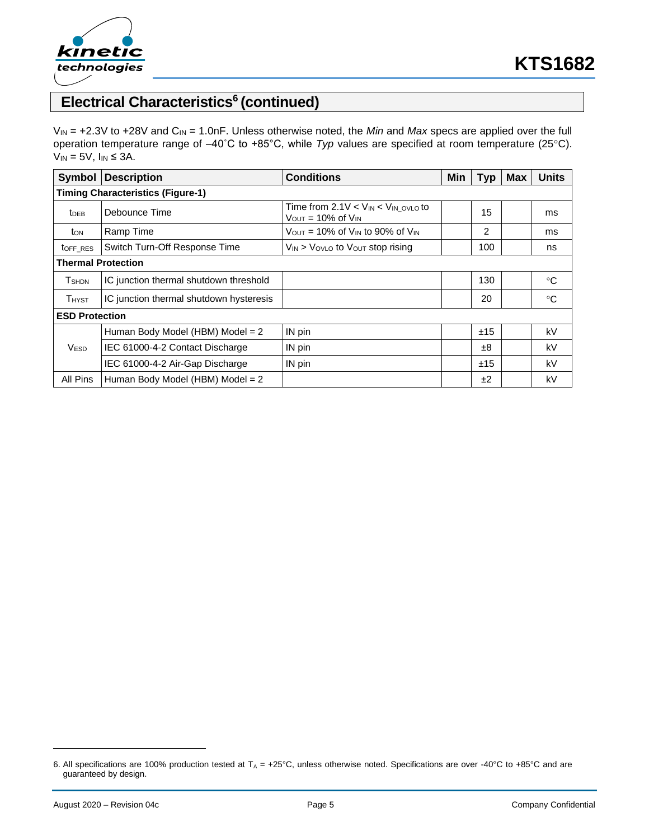

# **Electrical Characteristics<sup>6</sup> (continued)**

V<sub>IN</sub> = +2.3V to +28V and C<sub>IN</sub> = 1.0nF. Unless otherwise noted, the *Min* and *Max* specs are applied over the full operation temperature range of –40˚C to +85°C, while *Typ* values are specified at room temperature (25C).  $V_{IN} = 5V$ ,  $I_{IN} \leq 3A$ .

| <b>Symbol</b>                            | <b>Description</b>                      | <b>Conditions</b>                                                                        | Min | <b>Typ</b> | <b>Max</b> | <b>Units</b> |  |
|------------------------------------------|-----------------------------------------|------------------------------------------------------------------------------------------|-----|------------|------------|--------------|--|
| <b>Timing Characteristics (Figure-1)</b> |                                         |                                                                                          |     |            |            |              |  |
| <b>t</b> <sub>DEB</sub>                  | Debounce Time                           | Time from $2.1V < V_{IN} < V_{IN}$ ovlo to<br>$V_{\text{OUT}} = 10\%$ of $V_{\text{IN}}$ |     | 15         |            | ms           |  |
| ton                                      | Ramp Time                               | $V_{\text{OUT}}$ = 10% of $V_{\text{IN}}$ to 90% of $V_{\text{IN}}$                      |     | 2          |            | ms           |  |
| toff RES                                 | Switch Turn-Off Response Time           | $V_{IN}$ > $V_{OVLO}$ to $V_{OUT}$ stop rising                                           |     | 100        |            | ns           |  |
| <b>Thermal Protection</b>                |                                         |                                                                                          |     |            |            |              |  |
| <b>T</b> <sub>SHDN</sub>                 | IC junction thermal shutdown threshold  |                                                                                          |     | 130        |            | $^{\circ}C$  |  |
| <b>T</b> HYST                            | IC junction thermal shutdown hysteresis |                                                                                          |     | 20         |            | $^{\circ}C$  |  |
| <b>ESD Protection</b>                    |                                         |                                                                                          |     |            |            |              |  |
| <b>VESD</b>                              | Human Body Model (HBM) Model = 2        | IN pin                                                                                   |     | ±15        |            | kV           |  |
|                                          | IEC 61000-4-2 Contact Discharge         | IN pin                                                                                   |     | $\pm 8$    |            | kV           |  |
|                                          | IEC 61000-4-2 Air-Gap Discharge         | IN pin                                                                                   |     | ±15        |            | kV           |  |
| All Pins                                 | Human Body Model (HBM) Model = $2$      |                                                                                          |     | ±2         |            | kV           |  |

<sup>6.</sup> All specifications are 100% production tested at  $T_A = +25^{\circ}C$ , unless otherwise noted. Specifications are over -40°C to +85°C and are guaranteed by design.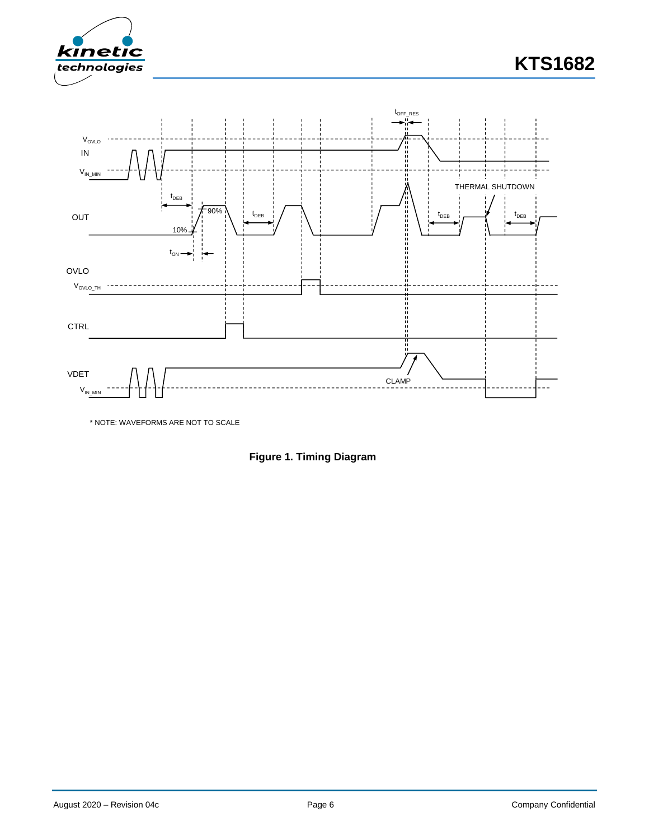



\* NOTE: WAVEFORMS ARE NOT TO SCALE

**Figure 1. Timing Diagram**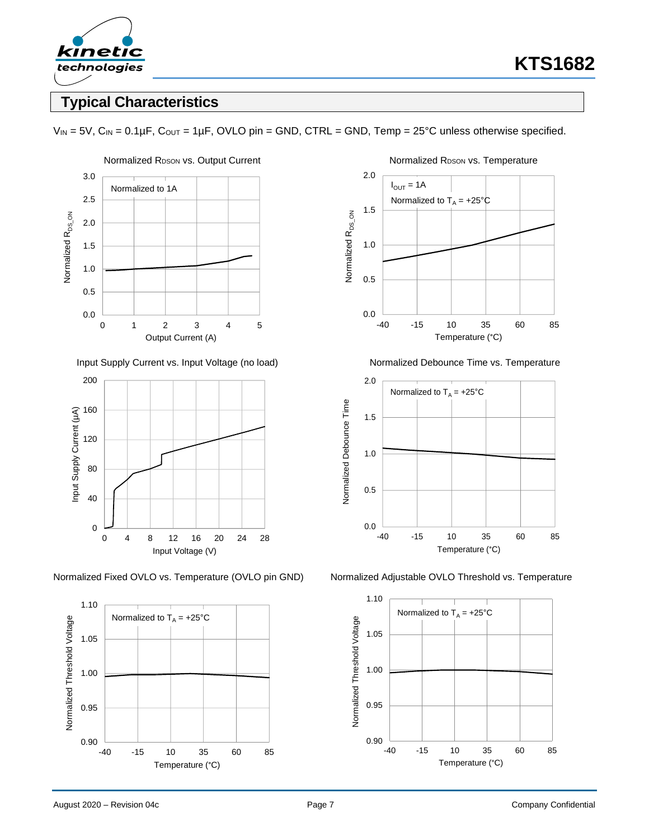

# **Typical Characteristics**



Input Supply Current vs. Input Voltage (no load) Normalized Debounce Time vs. Temperature









Normalized Fixed OVLO vs. Temperature (OVLO pin GND) Normalized Adjustable OVLO Threshold vs. Temperature



 $V_{IN} = 5V$ ,  $C_{IN} = 0.1 \mu F$ ,  $C_{OUT} = 1 \mu F$ , OVLO pin = GND, CTRL = GND, Temp = 25°C unless otherwise specified.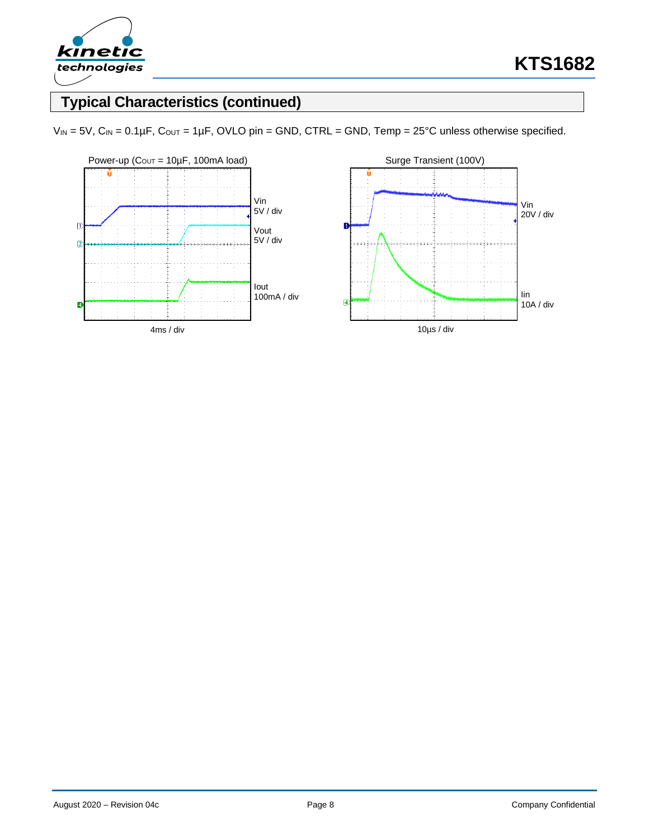

# **Typical Characteristics (continued)**



 $V_{IN} = 5V$ ,  $C_{IN} = 0.1 \mu F$ ,  $C_{OUT} = 1 \mu F$ , OVLO pin = GND, CTRL = GND, Temp = 25°C unless otherwise specified.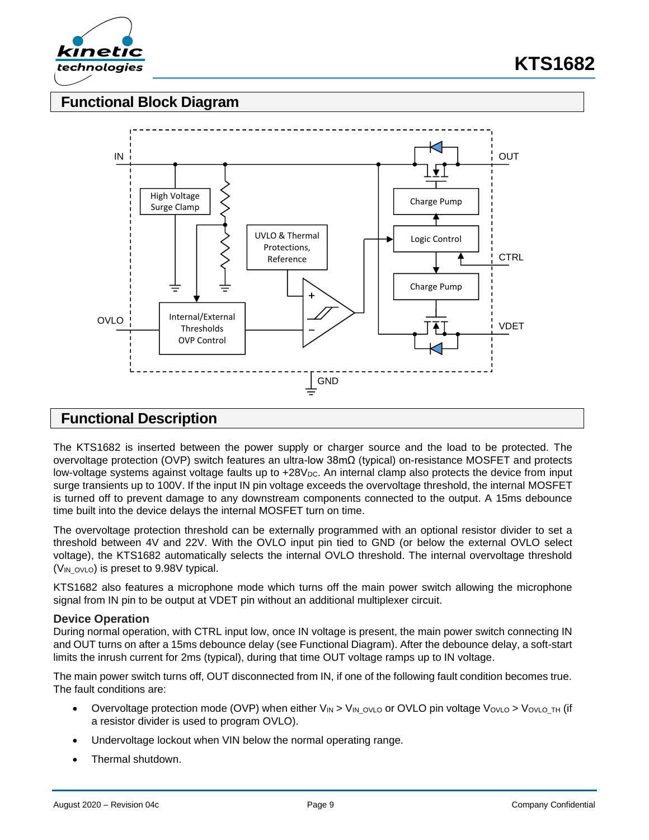

## **Functional Block Diagram**



### **Functional Description**

The KTS1682 is inserted between the power supply or charger source and the load to be protected. The overvoltage protection (OVP) switch features an ultra-low 38mΩ (typical) on-resistance MOSFET and protects low-voltage systems against voltage faults up to +28V<sub>DC</sub>. An internal clamp also protects the device from input surge transients up to 100V. If the input IN pin voltage exceeds the overvoltage threshold, the internal MOSFET is turned off to prevent damage to any downstream components connected to the output. A 15ms debounce time built into the device delays the internal MOSFET turn on time.

The overvoltage protection threshold can be externally programmed with an optional resistor divider to set a threshold between 4V and 22V. With the OVLO input pin tied to GND (or below the external OVLO select voltage), the KTS1682 automatically selects the internal OVLO threshold. The internal overvoltage threshold  $(V_{IN\,OVLO})$  is preset to 9.98V typical.

KTS1682 also features a microphone mode which turns off the main power switch allowing the microphone signal from IN pin to be output at VDET pin without an additional multiplexer circuit.

### **Device Operation**

During normal operation, with CTRL input low, once IN voltage is present, the main power switch connecting IN and OUT turns on after a 15ms debounce delay (see Functional Diagram). After the debounce delay, a soft-start limits the inrush current for 2ms (typical), during that time OUT voltage ramps up to IN voltage.

The main power switch turns off, OUT disconnected from IN, if one of the following fault condition becomes true. The fault conditions are:

- Overvoltage protection mode (OVP) when either  $V_{IN} > V_{IN}$  ovlo or OVLO pin voltage Vovlo > Vovlo TH (if a resistor divider is used to program OVLO).
- Undervoltage lockout when VIN below the normal operating range.
- Thermal shutdown.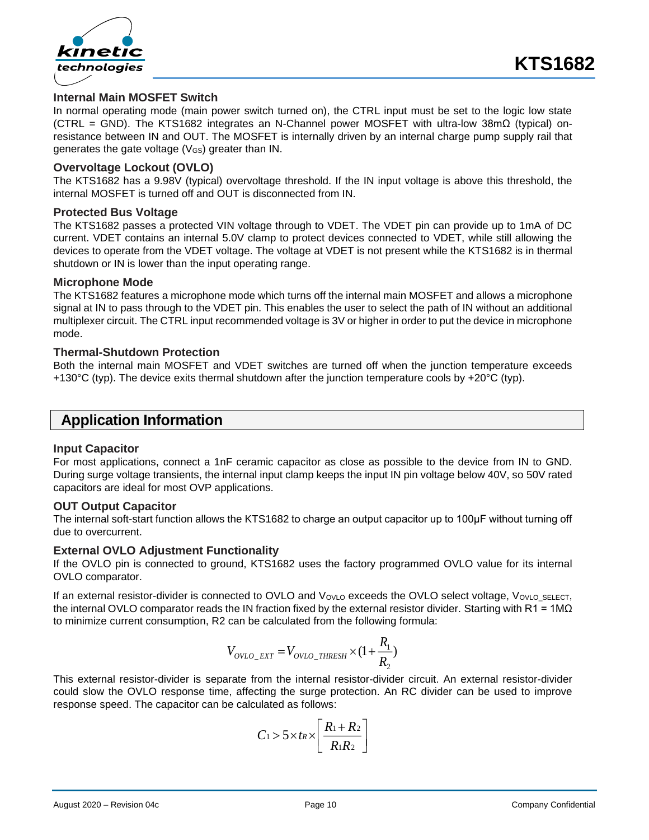

### **Internal Main MOSFET Switch**

In normal operating mode (main power switch turned on), the CTRL input must be set to the logic low state (CTRL = GND). The KTS1682 integrates an N-Channel power MOSFET with ultra-low 38mΩ (typical) onresistance between IN and OUT. The MOSFET is internally driven by an internal charge pump supply rail that generates the gate voltage (VGS) greater than IN.

### **Overvoltage Lockout (OVLO)**

The KTS1682 has a 9.98V (typical) overvoltage threshold. If the IN input voltage is above this threshold, the internal MOSFET is turned off and OUT is disconnected from IN.

#### **Protected Bus Voltage**

The KTS1682 passes a protected VIN voltage through to VDET. The VDET pin can provide up to 1mA of DC current. VDET contains an internal 5.0V clamp to protect devices connected to VDET, while still allowing the devices to operate from the VDET voltage. The voltage at VDET is not present while the KTS1682 is in thermal shutdown or IN is lower than the input operating range.

#### **Microphone Mode**

The KTS1682 features a microphone mode which turns off the internal main MOSFET and allows a microphone signal at IN to pass through to the VDET pin. This enables the user to select the path of IN without an additional multiplexer circuit. The CTRL input recommended voltage is 3V or higher in order to put the device in microphone mode.

### **Thermal-Shutdown Protection**

Both the internal main MOSFET and VDET switches are turned off when the junction temperature exceeds +130 $^{\circ}$ C (typ). The device exits thermal shutdown after the junction temperature cools by +20 $^{\circ}$ C (typ).

### **Application Information**

#### **Input Capacitor**

For most applications, connect a 1nF ceramic capacitor as close as possible to the device from IN to GND. During surge voltage transients, the internal input clamp keeps the input IN pin voltage below 40V, so 50V rated capacitors are ideal for most OVP applications.

#### **OUT Output Capacitor**

The internal soft-start function allows the KTS1682 to charge an output capacitor up to 100μF without turning off due to overcurrent.

### **External OVLO Adjustment Functionality**

If the OVLO pin is connected to ground, KTS1682 uses the factory programmed OVLO value for its internal OVLO comparator.

If an external resistor-divider is connected to OVLO and VovLo exceeds the OVLO select voltage, VovLo\_SELECT, the internal OVLO comparator reads the IN fraction fixed by the external resistor divider. Starting with R1 = 1M $\Omega$ to minimize current consumption, R2 can be calculated from the following formula:

$$
V_{OVLO\_EXT} = V_{OVLO\_THRESH} \times (1 + \frac{R_1}{R_2})
$$

This external resistor-divider is separate from the internal resistor-divider circuit. An external resistor-divider could slow the OVLO response time, affecting the surge protection. An RC divider can be used to improve response speed. The capacitor can be calculated as follows:

$$
C_1 > 5 \times t_R \times \left[ \frac{R_1 + R_2}{R_1 R_2} \right]
$$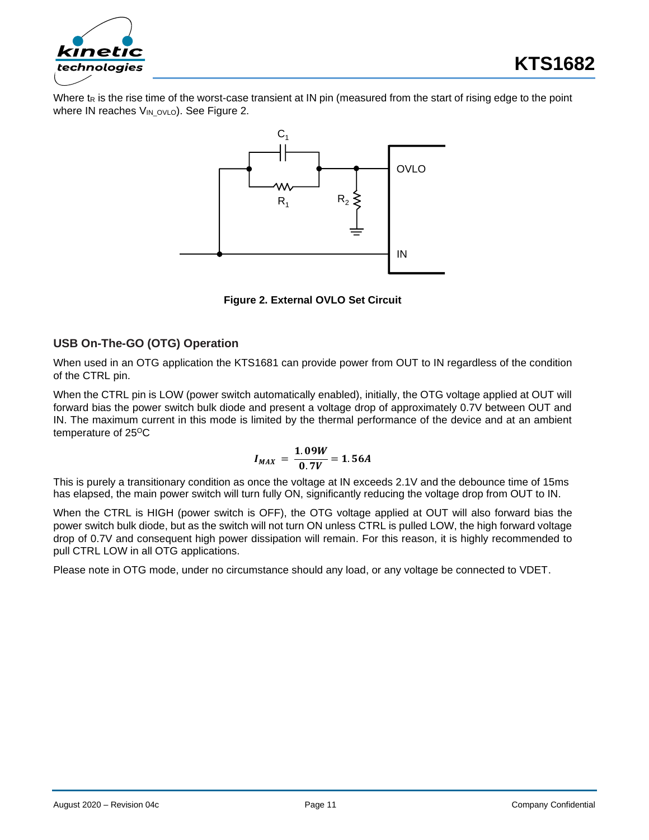

Where t<sub>R</sub> is the rise time of the worst-case transient at IN pin (measured from the start of rising edge to the point where IN reaches VIN\_OVLO). See Figure 2.



**Figure 2. External OVLO Set Circuit**

### **USB On-The-GO (OTG) Operation**

When used in an OTG application the KTS1681 can provide power from OUT to IN regardless of the condition of the CTRL pin.

When the CTRL pin is LOW (power switch automatically enabled), initially, the OTG voltage applied at OUT will forward bias the power switch bulk diode and present a voltage drop of approximately 0.7V between OUT and IN. The maximum current in this mode is limited by the thermal performance of the device and at an ambient temperature of 25<sup>o</sup>C

$$
I_{MAX} = \frac{1.09W}{0.7V} = 1.56A
$$

This is purely a transitionary condition as once the voltage at IN exceeds 2.1V and the debounce time of 15ms has elapsed, the main power switch will turn fully ON, significantly reducing the voltage drop from OUT to IN.

When the CTRL is HIGH (power switch is OFF), the OTG voltage applied at OUT will also forward bias the power switch bulk diode, but as the switch will not turn ON unless CTRL is pulled LOW, the high forward voltage drop of 0.7V and consequent high power dissipation will remain. For this reason, it is highly recommended to pull CTRL LOW in all OTG applications.

Please note in OTG mode, under no circumstance should any load, or any voltage be connected to VDET.